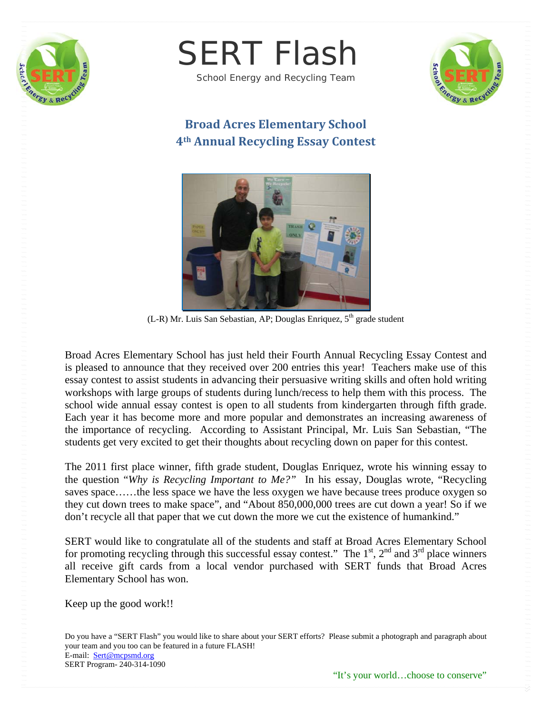



School Energy and Recycling Team



## **Broad Acres Elementary School 4th Annual Recycling Essay Contest**



(L-R) Mr. Luis San Sebastian, AP; Douglas Enriquez,  $5<sup>th</sup>$  grade student

Broad Acres Elementary School has just held their Fourth Annual Recycling Essay Contest and is pleased to announce that they received over 200 entries this year! Teachers make use of this essay contest to assist students in advancing their persuasive writing skills and often hold writing workshops with large groups of students during lunch/recess to help them with this process. The school wide annual essay contest is open to all students from kindergarten through fifth grade. Each year it has become more and more popular and demonstrates an increasing awareness of the importance of recycling. According to Assistant Principal, Mr. Luis San Sebastian, "The students get very excited to get their thoughts about recycling down on paper for this contest.

The 2011 first place winner, fifth grade student, Douglas Enriquez, wrote his winning essay to the question "*Why is Recycling Important to Me?"* In his essay, Douglas wrote, "Recycling saves space…...the less space we have the less oxygen we have because trees produce oxygen so they cut down trees to make space", and "About 850,000,000 trees are cut down a year! So if we don't recycle all that paper that we cut down the more we cut the existence of humankind."

SERT would like to congratulate all of the students and staff at Broad Acres Elementary School for promoting recycling through this successful essay contest." The  $1<sup>st</sup>$ ,  $2<sup>nd</sup>$  and  $3<sup>rd</sup>$  place winners all receive gift cards from a local vendor purchased with SERT funds that Broad Acres Elementary School has won.

Keep up the good work!!

Do you have a "SERT Flash" you would like to share about your SERT efforts? Please submit a photograph and paragraph about your team and you too can be featured in a future FLASH! E-mail: Sert@mcpsmd.org SERT Program- 240-314-1090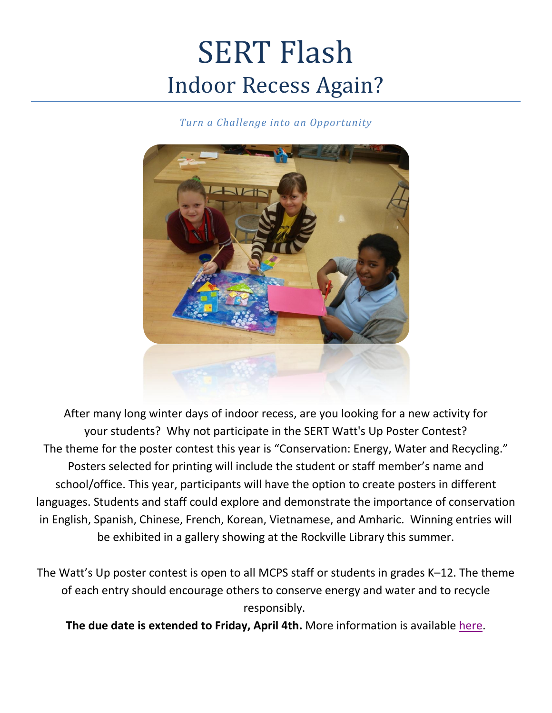## SERT Flash Indoor Recess Again?

*Turn a Challenge into an Opportunity*



After many long winter days of indoor recess, are you looking for a new activity for your students? Why not participate in the SERT Watt's Up Poster Contest? The theme for the poster contest this year is "Conservation: Energy, Water and Recycling." Posters selected for printing will include the student or staff member's name and school/office. This year, participants will have the option to create posters in different languages. Students and staff could explore and demonstrate the importance of conservation in English, Spanish, Chinese, French, Korean, Vietnamese, and Amharic. Winning entries will be exhibited in a gallery showing at the Rockville Library this summer.

The Watt's Up poster contest is open to all MCPS staff or students in grades K–12. The theme of each entry should encourage others to conserve energy and water and to recycle responsibly.

**The due date is extended to Friday, April 4th.** More information is available [here.](http://www.montgomeryschoolsmd.org/departments/facilities/greenschoolsfocus/pdf/wu.pdf)